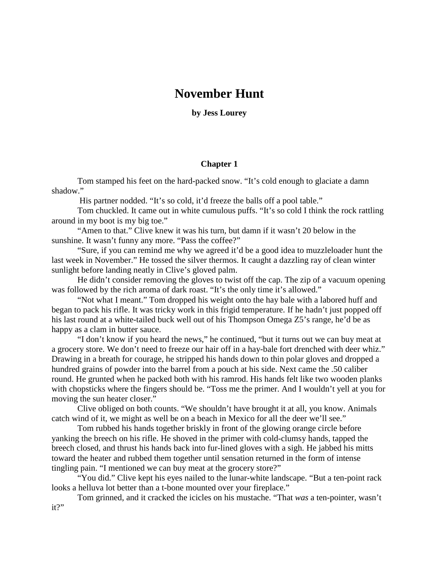## **November Hunt**

**by Jess Lourey** 

## **Chapter 1**

 Tom stamped his feet on the hard-packed snow. "It's cold enough to glaciate a damn shadow."

His partner nodded. "It's so cold, it'd freeze the balls off a pool table."

 Tom chuckled. It came out in white cumulous puffs. "It's so cold I think the rock rattling around in my boot is my big toe."

 "Amen to that." Clive knew it was his turn, but damn if it wasn't 20 below in the sunshine. It wasn't funny any more. "Pass the coffee?"

 "Sure, if you can remind me why we agreed it'd be a good idea to muzzleloader hunt the last week in November." He tossed the silver thermos. It caught a dazzling ray of clean winter sunlight before landing neatly in Clive's gloved palm.

He didn't consider removing the gloves to twist off the cap. The zip of a vacuum opening was followed by the rich aroma of dark roast. "It's the only time it's allowed."

 "Not what I meant." Tom dropped his weight onto the hay bale with a labored huff and began to pack his rifle. It was tricky work in this frigid temperature. If he hadn't just popped off his last round at a white-tailed buck well out of his Thompson Omega Z5's range, he'd be as happy as a clam in butter sauce.

"I don't know if you heard the news," he continued, "but it turns out we can buy meat at a grocery store. We don't need to freeze our hair off in a hay-bale fort drenched with deer whiz." Drawing in a breath for courage, he stripped his hands down to thin polar gloves and dropped a hundred grains of powder into the barrel from a pouch at his side. Next came the .50 caliber round. He grunted when he packed both with his ramrod. His hands felt like two wooden planks with chopsticks where the fingers should be. "Toss me the primer. And I wouldn't yell at you for moving the sun heater closer."

 Clive obliged on both counts. "We shouldn't have brought it at all, you know. Animals catch wind of it, we might as well be on a beach in Mexico for all the deer we'll see."

 Tom rubbed his hands together briskly in front of the glowing orange circle before yanking the breech on his rifle. He shoved in the primer with cold-clumsy hands, tapped the breech closed, and thrust his hands back into fur-lined gloves with a sigh. He jabbed his mitts toward the heater and rubbed them together until sensation returned in the form of intense tingling pain. "I mentioned we can buy meat at the grocery store?"

 "You did." Clive kept his eyes nailed to the lunar-white landscape. "But a ten-point rack looks a helluva lot better than a t-bone mounted over your fireplace."

 Tom grinned, and it cracked the icicles on his mustache. "That *was* a ten-pointer, wasn't it?"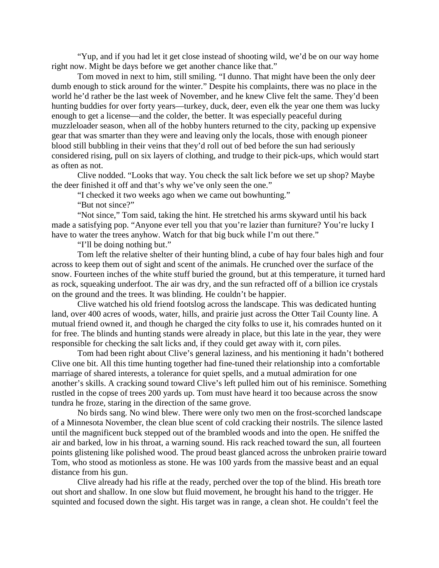"Yup, and if you had let it get close instead of shooting wild, we'd be on our way home right now. Might be days before we get another chance like that."

Tom moved in next to him, still smiling. "I dunno. That might have been the only deer dumb enough to stick around for the winter." Despite his complaints, there was no place in the world he'd rather be the last week of November, and he knew Clive felt the same. They'd been hunting buddies for over forty years—turkey, duck, deer, even elk the year one them was lucky enough to get a license—and the colder, the better. It was especially peaceful during muzzleloader season, when all of the hobby hunters returned to the city, packing up expensive gear that was smarter than they were and leaving only the locals, those with enough pioneer blood still bubbling in their veins that they'd roll out of bed before the sun had seriously considered rising, pull on six layers of clothing, and trudge to their pick-ups, which would start as often as not.

 Clive nodded. "Looks that way. You check the salt lick before we set up shop? Maybe the deer finished it off and that's why we've only seen the one."

"I checked it two weeks ago when we came out bowhunting."

"But not since?"

 "Not since," Tom said, taking the hint. He stretched his arms skyward until his back made a satisfying pop. "Anyone ever tell you that you're lazier than furniture? You're lucky I have to water the trees anyhow. Watch for that big buck while I'm out there."

"I'll be doing nothing but."

 Tom left the relative shelter of their hunting blind, a cube of hay four bales high and four across to keep them out of sight and scent of the animals. He crunched over the surface of the snow. Fourteen inches of the white stuff buried the ground, but at this temperature, it turned hard as rock, squeaking underfoot. The air was dry, and the sun refracted off of a billion ice crystals on the ground and the trees. It was blinding. He couldn't be happier.

 Clive watched his old friend footslog across the landscape. This was dedicated hunting land, over 400 acres of woods, water, hills, and prairie just across the Otter Tail County line. A mutual friend owned it, and though he charged the city folks to use it, his comrades hunted on it for free. The blinds and hunting stands were already in place, but this late in the year, they were responsible for checking the salt licks and, if they could get away with it, corn piles.

Tom had been right about Clive's general laziness, and his mentioning it hadn't bothered Clive one bit. All this time hunting together had fine-tuned their relationship into a comfortable marriage of shared interests, a tolerance for quiet spells, and a mutual admiration for one another's skills. A cracking sound toward Clive's left pulled him out of his reminisce. Something rustled in the copse of trees 200 yards up. Tom must have heard it too because across the snow tundra he froze, staring in the direction of the same grove.

 No birds sang. No wind blew. There were only two men on the frost-scorched landscape of a Minnesota November, the clean blue scent of cold cracking their nostrils. The silence lasted until the magnificent buck stepped out of the brambled woods and into the open. He sniffed the air and barked, low in his throat, a warning sound. His rack reached toward the sun, all fourteen points glistening like polished wood. The proud beast glanced across the unbroken prairie toward Tom, who stood as motionless as stone. He was 100 yards from the massive beast and an equal distance from his gun.

 Clive already had his rifle at the ready, perched over the top of the blind. His breath tore out short and shallow. In one slow but fluid movement, he brought his hand to the trigger. He squinted and focused down the sight. His target was in range, a clean shot. He couldn't feel the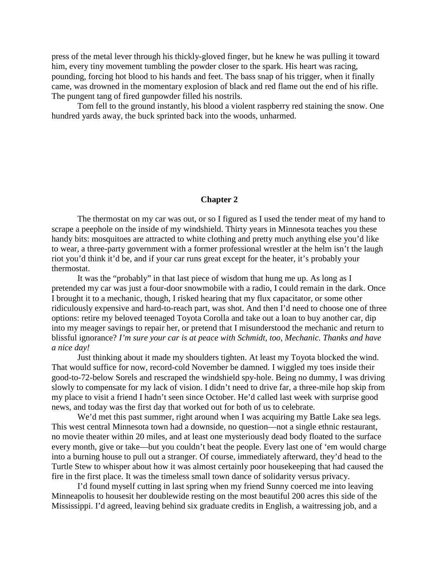press of the metal lever through his thickly-gloved finger, but he knew he was pulling it toward him, every tiny movement tumbling the powder closer to the spark. His heart was racing, pounding, forcing hot blood to his hands and feet. The bass snap of his trigger, when it finally came, was drowned in the momentary explosion of black and red flame out the end of his rifle. The pungent tang of fired gunpowder filled his nostrils.

 Tom fell to the ground instantly, his blood a violent raspberry red staining the snow. One hundred yards away, the buck sprinted back into the woods, unharmed.

## **Chapter 2**

 The thermostat on my car was out, or so I figured as I used the tender meat of my hand to scrape a peephole on the inside of my windshield. Thirty years in Minnesota teaches you these handy bits: mosquitoes are attracted to white clothing and pretty much anything else you'd like to wear, a three-party government with a former professional wrestler at the helm isn't the laugh riot you'd think it'd be, and if your car runs great except for the heater, it's probably your thermostat.

 It was the "probably" in that last piece of wisdom that hung me up. As long as I pretended my car was just a four-door snowmobile with a radio, I could remain in the dark. Once I brought it to a mechanic, though, I risked hearing that my flux capacitator, or some other ridiculously expensive and hard-to-reach part, was shot. And then I'd need to choose one of three options: retire my beloved teenaged Toyota Corolla and take out a loan to buy another car, dip into my meager savings to repair her, or pretend that I misunderstood the mechanic and return to blissful ignorance? *I'm sure your car is at peace with Schmidt, too, Mechanic. Thanks and have a nice day!* 

 Just thinking about it made my shoulders tighten. At least my Toyota blocked the wind. That would suffice for now, record-cold November be damned. I wiggled my toes inside their good-to-72-below Sorels and rescraped the windshield spy-hole. Being no dummy, I was driving slowly to compensate for my lack of vision. I didn't need to drive far, a three-mile hop skip from my place to visit a friend I hadn't seen since October. He'd called last week with surprise good news, and today was the first day that worked out for both of us to celebrate.

We'd met this past summer, right around when I was acquiring my Battle Lake sea legs. This west central Minnesota town had a downside, no question—not a single ethnic restaurant, no movie theater within 20 miles, and at least one mysteriously dead body floated to the surface every month, give or take—but you couldn't beat the people. Every last one of 'em would charge into a burning house to pull out a stranger. Of course, immediately afterward, they'd head to the Turtle Stew to whisper about how it was almost certainly poor housekeeping that had caused the fire in the first place. It was the timeless small town dance of solidarity versus privacy.

I'd found myself cutting in last spring when my friend Sunny coerced me into leaving Minneapolis to housesit her doublewide resting on the most beautiful 200 acres this side of the Mississippi. I'd agreed, leaving behind six graduate credits in English, a waitressing job, and a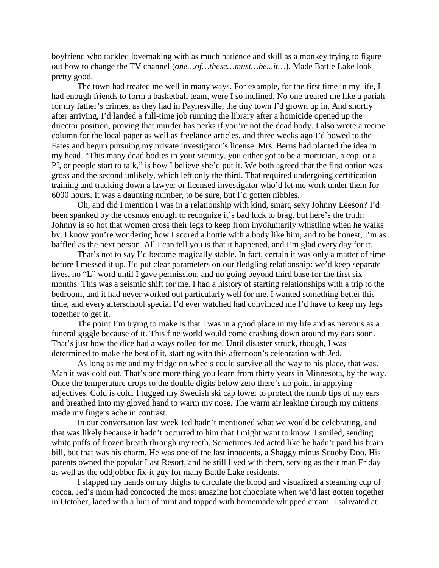boyfriend who tackled lovemaking with as much patience and skill as a monkey trying to figure out how to change the TV channel (*one…of…these…must…be...it…*). Made Battle Lake look pretty good.

The town had treated me well in many ways. For example, for the first time in my life, I had enough friends to form a basketball team, were I so inclined. No one treated me like a pariah for my father's crimes, as they had in Paynesville, the tiny town I'd grown up in. And shortly after arriving, I'd landed a full-time job running the library after a homicide opened up the director position, proving that murder has perks if you're not the dead body. I also wrote a recipe column for the local paper as well as freelance articles, and three weeks ago I'd bowed to the Fates and begun pursuing my private investigator's license. Mrs. Berns had planted the idea in my head. "This many dead bodies in your vicinity, you either got to be a mortician, a cop, or a PI, or people start to talk," is how I believe she'd put it. We both agreed that the first option was gross and the second unlikely, which left only the third. That required undergoing certification training and tracking down a lawyer or licensed investigator who'd let me work under them for 6000 hours. It was a daunting number, to be sure, but I'd gotten nibbles.

Oh, and did I mention I was in a relationship with kind, smart, sexy Johnny Leeson? I'd been spanked by the cosmos enough to recognize it's bad luck to brag, but here's the truth: Johnny is so hot that women cross their legs to keep from involuntarily whistling when he walks by. I know you're wondering how I scored a hottie with a body like him, and to be honest, I'm as baffled as the next person. All I can tell you is that it happened, and I'm glad every day for it.

That's not to say I'd become magically stable. In fact, certain it was only a matter of time before I messed it up, I'd put clear parameters on our fledgling relationship: we'd keep separate lives, no "L" word until I gave permission, and no going beyond third base for the first six months. This was a seismic shift for me. I had a history of starting relationships with a trip to the bedroom, and it had never worked out particularly well for me. I wanted something better this time, and every afterschool special I'd ever watched had convinced me I'd have to keep my legs together to get it.

The point I'm trying to make is that I was in a good place in my life and as nervous as a funeral giggle because of it. This fine world would come crashing down around my ears soon. That's just how the dice had always rolled for me. Until disaster struck, though, I was determined to make the best of it, starting with this afternoon's celebration with Jed.

As long as me and my fridge on wheels could survive all the way to his place, that was. Man it was cold out. That's one more thing you learn from thirty years in Minnesota, by the way. Once the temperature drops to the double digits below zero there's no point in applying adjectives. Cold is cold. I tugged my Swedish ski cap lower to protect the numb tips of my ears and breathed into my gloved hand to warm my nose. The warm air leaking through my mittens made my fingers ache in contrast.

In our conversation last week Jed hadn't mentioned what we would be celebrating, and that was likely because it hadn't occurred to him that I might want to know. I smiled, sending white puffs of frozen breath through my teeth. Sometimes Jed acted like he hadn't paid his brain bill, but that was his charm. He was one of the last innocents, a Shaggy minus Scooby Doo. His parents owned the popular Last Resort, and he still lived with them, serving as their man Friday as well as the oddjobber fix-it guy for many Battle Lake residents.

I slapped my hands on my thighs to circulate the blood and visualized a steaming cup of cocoa. Jed's mom had concocted the most amazing hot chocolate when we'd last gotten together in October, laced with a hint of mint and topped with homemade whipped cream. I salivated at